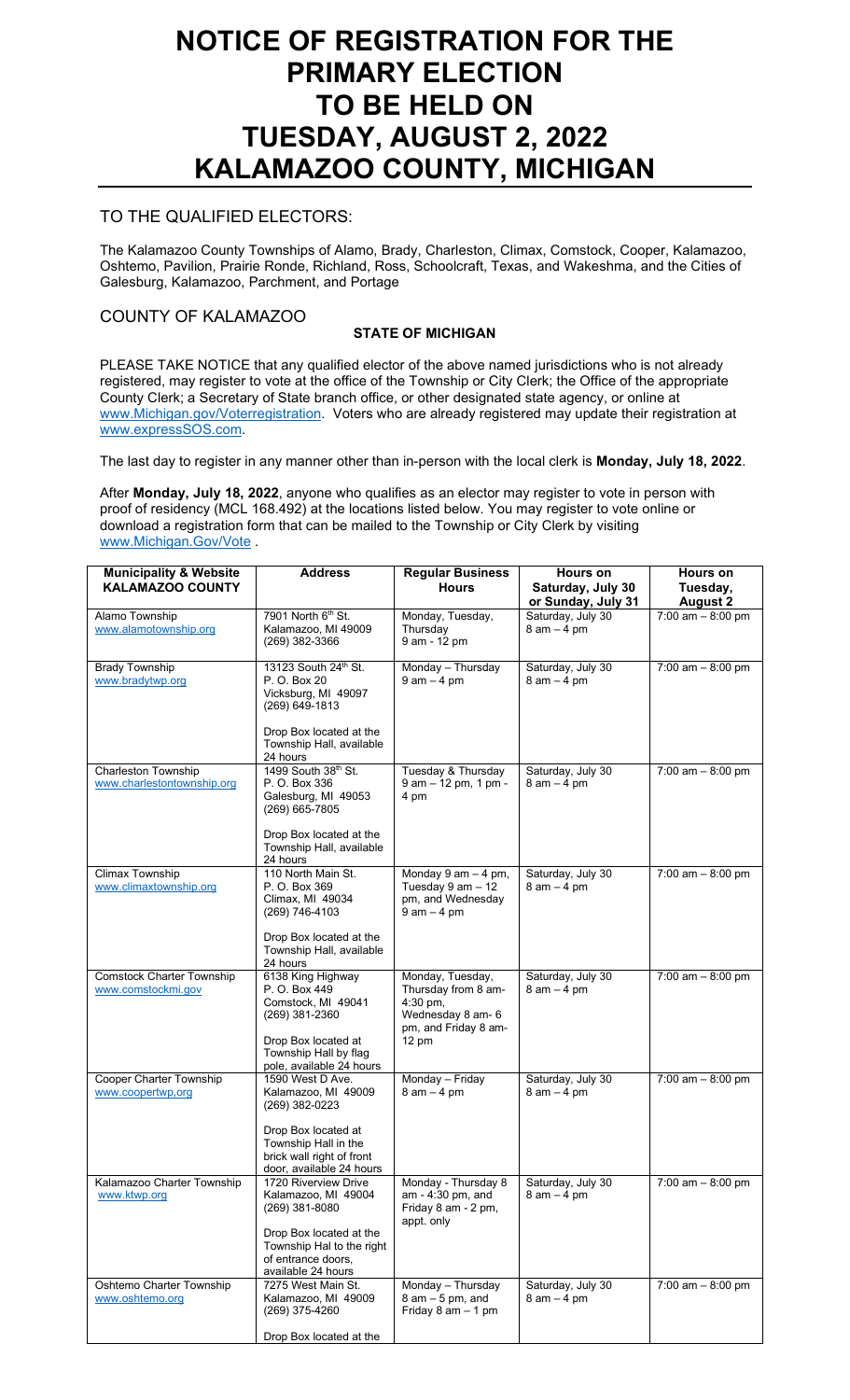# **NOTICE OF REGISTRATION FOR THE PRIMARY ELECTION TO BE HELD ON TUESDAY, AUGUST 2, 2022 KALAMAZOO COUNTY, MICHIGAN**

## TO THE QUALIFIED ELECTORS:

The Kalamazoo County Townships of Alamo, Brady, Charleston, Climax, Comstock, Cooper, Kalamazoo, Oshtemo, Pavilion, Prairie Ronde, Richland, Ross, Schoolcraft, Texas, and Wakeshma, and the Cities of Galesburg, Kalamazoo, Parchment, and Portage

## COUNTY OF KALAMAZOO

## **STATE OF MICHIGAN**

PLEASE TAKE NOTICE that any qualified elector of the above named jurisdictions who is not already registered, may register to vote at the office of the Township or City Clerk; the Office of the appropriate County Clerk; a Secretary of State branch office, or other designated state agency, or online at [www.Michigan.gov/Voterregistration.](http://www.michigan.gov/Voterregistration) Voters who are already registered may update their registration at [www.expressSOS.com.](http://www.expresssos.com/)

The last day to register in any manner other than in-person with the local clerk is **Monday, July 18, 2022**.

After **Monday, July 18, 2022**, anyone who qualifies as an elector may register to vote in person with proof of residency (MCL 168.492) at the locations listed below. You may register to vote online or download a registration form that can be mailed to the Township or City Clerk by visiting [www.Michigan.Gov/Vote](http://www.michigan.gov/Vote) .

| <b>Municipality &amp; Website</b><br><b>KALAMAZOO COUNTY</b> | <b>Address</b>                                                                                                                                                    | <b>Regular Business</b><br><b>Hours</b>                                                                               | Hours on<br>Saturday, July 30<br>or Sunday, July 31 | Hours on<br>Tuesday,<br><b>August 2</b> |
|--------------------------------------------------------------|-------------------------------------------------------------------------------------------------------------------------------------------------------------------|-----------------------------------------------------------------------------------------------------------------------|-----------------------------------------------------|-----------------------------------------|
| Alamo Township<br>www.alamotownship.org                      | 7901 North 6th St.<br>Kalamazoo, MI 49009<br>(269) 382-3366                                                                                                       | Monday, Tuesday,<br>Thursday<br>9 am - 12 pm                                                                          | Saturday, July 30<br>$8$ am $-4$ pm                 | $7:00$ am $-8:00$ pm                    |
| <b>Brady Township</b><br>www.bradytwp.org                    | 13123 South 24th St.<br>P. O. Box 20<br>Vicksburg, MI 49097<br>$(269)$ 649-1813<br>Drop Box located at the<br>Township Hall, available                            | Monday - Thursday<br>$9$ am $-$ 4 pm                                                                                  | Saturday, July 30<br>$8$ am $-4$ pm                 | 7:00 $am - 8:00 pm$                     |
| <b>Charleston Township</b><br>www.charlestontownship.org     | 24 hours<br>1499 South 38th St.<br>P. O. Box 336<br>Galesburg, MI 49053<br>(269) 665-7805<br>Drop Box located at the<br>Township Hall, available<br>24 hours      | Tuesday & Thursday<br>9 am - 12 pm, 1 pm -<br>4 pm                                                                    | Saturday, July 30<br>$8$ am $-4$ pm                 | 7:00 am $-8:00$ pm                      |
| Climax Township<br>www.climaxtownship.org                    | 110 North Main St.<br>P. O. Box 369<br>Climax, MI 49034<br>(269) 746-4103<br>Drop Box located at the<br>Township Hall, available<br>24 hours                      | Monday 9 am - 4 pm,<br>Tuesday $9$ am $-12$<br>pm, and Wednesday<br>$9$ am $-$ 4 pm                                   | Saturday, July 30<br>$8$ am $-4$ pm                 | $7:00$ am $- 8:00$ pm                   |
| <b>Comstock Charter Township</b><br>www.comstockmi.gov       | 6138 King Highway<br>P. O. Box 449<br>Comstock, MI 49041<br>$(269)$ 381-2360<br>Drop Box located at<br>Township Hall by flag<br>pole, available 24 hours          | Monday, Tuesday,<br>Thursday from 8 am-<br>$4:30$ pm,<br>Wednesday 8 am- 6<br>pm, and Friday 8 am-<br>$12 \text{ pm}$ | Saturday, July 30<br>$8$ am $-4$ pm                 | 7:00 $am - 8:00 pm$                     |
| Cooper Charter Township<br>www.coopertwp.org                 | 1590 West D Ave.<br>Kalamazoo, MI 49009<br>(269) 382-0223<br>Drop Box located at<br>Township Hall in the<br>brick wall right of front<br>door, available 24 hours | Monday - Friday<br>$8$ am $-4$ pm                                                                                     | Saturday, July 30<br>$8$ am $-4$ pm                 | 7:00 am $-8:00$ pm                      |
| Kalamazoo Charter Township<br>www.ktwp.org                   | 1720 Riverview Drive<br>Kalamazoo, MI 49004<br>(269) 381-8080<br>Drop Box located at the<br>Township Hal to the right<br>of entrance doors,<br>available 24 hours | Monday - Thursday 8<br>am - 4:30 pm, and<br>Friday 8 am - 2 pm,<br>appt. only                                         | Saturday, July 30<br>$8$ am $-4$ pm                 | $7:00$ am $- 8:00$ pm                   |
| Oshtemo Charter Township<br>www.oshtemo.org                  | 7275 West Main St.<br>Kalamazoo, MI 49009<br>(269) 375-4260<br>Drop Box located at the                                                                            | Monday - Thursday<br>$8$ am $-5$ pm, and<br>Friday $8$ am $-$ 1 pm                                                    | Saturday, July 30<br>$8$ am $-4$ pm                 | 7:00 am $-8:00$ pm                      |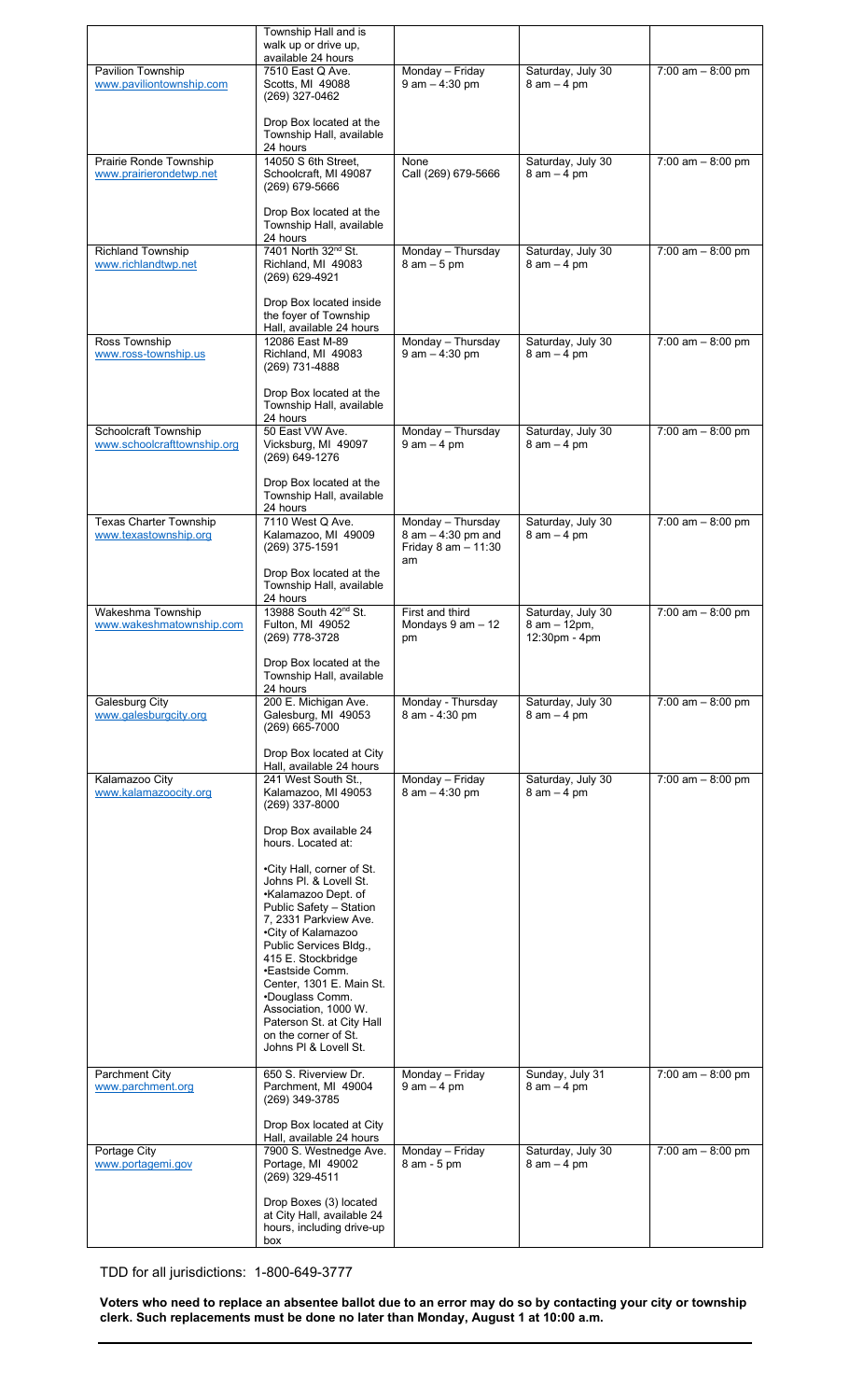|                                                     | Township Hall and is<br>walk up or drive up,                                                                                                                                                                                                                                                                                                                                 |                                                                      |                                                    |                      |
|-----------------------------------------------------|------------------------------------------------------------------------------------------------------------------------------------------------------------------------------------------------------------------------------------------------------------------------------------------------------------------------------------------------------------------------------|----------------------------------------------------------------------|----------------------------------------------------|----------------------|
|                                                     | available 24 hours                                                                                                                                                                                                                                                                                                                                                           |                                                                      |                                                    |                      |
| Pavilion Township<br>www.paviliontownship.com       | 7510 East Q Ave.<br>Scotts, MI 49088<br>(269) 327-0462                                                                                                                                                                                                                                                                                                                       | Monday - Friday<br>$9$ am $-$ 4:30 pm                                | Saturday, July 30<br>$8$ am $-4$ pm                | 7:00 am $-8:00$ pm   |
|                                                     | Drop Box located at the<br>Township Hall, available<br>24 hours                                                                                                                                                                                                                                                                                                              |                                                                      |                                                    |                      |
| Prairie Ronde Township<br>www.prairierondetwp.net   | 14050 S 6th Street,<br>Schoolcraft, MI 49087<br>(269) 679-5666                                                                                                                                                                                                                                                                                                               | None<br>Call (269) 679-5666                                          | Saturday, July 30<br>$8$ am $-4$ pm                | $7:00$ am $-8:00$ pm |
|                                                     | Drop Box located at the<br>Township Hall, available<br>24 hours                                                                                                                                                                                                                                                                                                              |                                                                      |                                                    |                      |
| Richland Township<br>www.richlandtwp.net            | 7401 North 32nd St.<br>Richland, MI 49083<br>(269) 629-4921                                                                                                                                                                                                                                                                                                                  | Monday - Thursday<br>$8$ am $-5$ pm                                  | Saturday, July 30<br>$8$ am $-4$ pm                | 7:00 $am - 8:00 pm$  |
| Ross Township                                       | Drop Box located inside<br>the foyer of Township<br>Hall, available 24 hours<br>12086 East M-89                                                                                                                                                                                                                                                                              | Monday - Thursday                                                    | Saturday, July 30                                  | 7:00 $am - 8:00 pm$  |
| www.ross-township.us                                | Richland, MI 49083<br>(269) 731-4888                                                                                                                                                                                                                                                                                                                                         | $9$ am $-$ 4:30 pm                                                   | $8$ am $-4$ pm                                     |                      |
|                                                     | Drop Box located at the<br>Township Hall, available<br>24 hours<br>50 East VW Ave.                                                                                                                                                                                                                                                                                           |                                                                      |                                                    |                      |
| Schoolcraft Township<br>www.schoolcrafttownship.org | Vicksburg, MI 49097<br>(269) 649-1276                                                                                                                                                                                                                                                                                                                                        | Monday - Thursday<br>$9$ am $-$ 4 pm                                 | Saturday, July 30<br>$8$ am $-4$ pm                | $7:00$ am $-8:00$ pm |
|                                                     | Drop Box located at the<br>Township Hall, available<br>24 hours                                                                                                                                                                                                                                                                                                              |                                                                      |                                                    |                      |
| Texas Charter Township<br>www.texastownship.org     | 7110 West Q Ave.<br>Kalamazoo, MI 49009<br>(269) 375-1591                                                                                                                                                                                                                                                                                                                    | Monday - Thursday<br>8 am - 4:30 pm and<br>Friday 8 am - 11:30<br>am | Saturday, July 30<br>$8$ am $-4$ pm                | 7:00 am $-8:00$ pm   |
|                                                     | Drop Box located at the<br>Township Hall, available<br>24 hours                                                                                                                                                                                                                                                                                                              |                                                                      |                                                    |                      |
| Wakeshma Township<br>www.wakeshmatownship.com       | 13988 South 42 <sup>nd</sup> St.<br>Fulton, MI 49052<br>(269) 778-3728                                                                                                                                                                                                                                                                                                       | First and third<br>Mondays 9 am - 12<br>pm                           | Saturday, July 30<br>8 am - 12pm,<br>12:30pm - 4pm | 7:00 am $-8:00$ pm   |
|                                                     | Drop Box located at the<br>Township Hall, available<br>24 hours                                                                                                                                                                                                                                                                                                              |                                                                      |                                                    |                      |
| Galesburg City<br>www.galesburgcity.org             | 200 E. Michigan Ave.<br>Galesburg, MI 49053<br>(269) 665-7000                                                                                                                                                                                                                                                                                                                | Monday - Thursday<br>8 am - 4:30 pm                                  | Saturday, July 30<br>$8$ am $-4$ pm                | $7:00$ am $-8:00$ pm |
|                                                     | Drop Box located at City<br>Hall, available 24 hours                                                                                                                                                                                                                                                                                                                         |                                                                      |                                                    |                      |
| Kalamazoo City<br>www.kalamazoocity.org             | 241 West South St.,<br>Kalamazoo, MI 49053<br>(269) 337-8000                                                                                                                                                                                                                                                                                                                 | Monday - Friday<br>$8$ am $-$ 4:30 pm                                | Saturday, July 30<br>$8$ am $-4$ pm                | 7:00 am $-8:00$ pm   |
|                                                     | Drop Box available 24<br>hours. Located at:                                                                                                                                                                                                                                                                                                                                  |                                                                      |                                                    |                      |
|                                                     | •City Hall, corner of St.<br>Johns Pl. & Lovell St.<br>•Kalamazoo Dept. of<br>Public Safety - Station<br>7, 2331 Parkview Ave.<br>•City of Kalamazoo<br>Public Services Bldg.,<br>415 E. Stockbridge<br>•Eastside Comm.<br>Center, 1301 E. Main St.<br>•Douglass Comm.<br>Association, 1000 W.<br>Paterson St. at City Hall<br>on the corner of St.<br>Johns PI & Lovell St. |                                                                      |                                                    |                      |
| Parchment City<br>www.parchment.org                 | 650 S. Riverview Dr.<br>Parchment, MI 49004<br>(269) 349-3785                                                                                                                                                                                                                                                                                                                | Monday - Friday<br>$9$ am $-$ 4 pm                                   | Sunday, July 31<br>$8$ am $-4$ pm                  | 7:00 $am - 8:00 pm$  |
|                                                     | Drop Box located at City<br>Hall, available 24 hours                                                                                                                                                                                                                                                                                                                         |                                                                      |                                                    |                      |
| Portage City<br>www.portagemi.gov                   | 7900 S. Westnedge Ave.<br>Portage, MI 49002<br>(269) 329-4511                                                                                                                                                                                                                                                                                                                | Monday - Friday<br>8 am - 5 pm                                       | Saturday, July 30<br>$8$ am $-4$ pm                | 7:00 am $-8:00$ pm   |
|                                                     | Drop Boxes (3) located<br>at City Hall, available 24<br>hours, including drive-up<br>box                                                                                                                                                                                                                                                                                     |                                                                      |                                                    |                      |

TDD for all jurisdictions: 1-800-649-3777

**Voters who need to replace an absentee ballot due to an error may do so by contacting your city or township clerk. Such replacements must be done no later than Monday, August 1 at 10:00 a.m.**